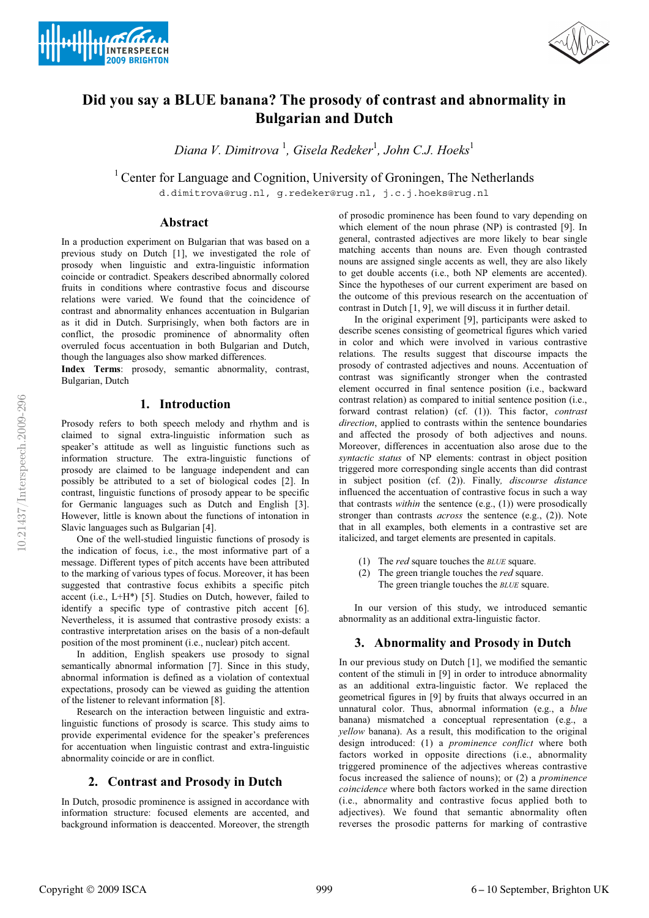



# **Did you say a BLUE banana? The prosody of contrast and abnormality in Bulgarian and Dutch**

*Diana V. Dimitrova* <sup>1</sup> *, Gisela Redeker*<sup>1</sup> *, John C.J. Hoeks*<sup>1</sup>

<sup>1</sup> Center for Language and Cognition, University of Groningen, The Netherlands

d.dimitrova@rug.nl, g.redeker@rug.nl, j.c.j.hoeks@rug.nl

# **Abstract**

In a production experiment on Bulgarian that was based on a previous study on Dutch [1], we investigated the role of prosody when linguistic and extra-linguistic information coincide or contradict. Speakers described abnormally colored fruits in conditions where contrastive focus and discourse relations were varied. We found that the coincidence of contrast and abnormality enhances accentuation in Bulgarian as it did in Dutch. Surprisingly, when both factors are in conflict, the prosodic prominence of abnormality often overruled focus accentuation in both Bulgarian and Dutch, though the languages also show marked differences.

**Index Terms**: prosody, semantic abnormality, contrast, Bulgarian, Dutch

# **1. Introduction**

Prosody refers to both speech melody and rhythm and is claimed to signal extra-linguistic information such as speaker's attitude as well as linguistic functions such as information structure. The extra-linguistic functions of prosody are claimed to be language independent and can possibly be attributed to a set of biological codes [2]. In contrast, linguistic functions of prosody appear to be specific for Germanic languages such as Dutch and English [3]. However, little is known about the functions of intonation in Slavic languages such as Bulgarian [4].

One of the well-studied linguistic functions of prosody is the indication of focus, i.e., the most informative part of a message. Different types of pitch accents have been attributed to the marking of various types of focus. Moreover, it has been suggested that contrastive focus exhibits a specific pitch accent (i.e., L+H\*) [5]. Studies on Dutch, however, failed to identify a specific type of contrastive pitch accent [6]. Nevertheless, it is assumed that contrastive prosody exists: a contrastive interpretation arises on the basis of a non-default position of the most prominent (i.e., nuclear) pitch accent.

In addition, English speakers use prosody to signal semantically abnormal information [7]. Since in this study, abnormal information is defined as a violation of contextual expectations, prosody can be viewed as guiding the attention of the listener to relevant information [8].

Research on the interaction between linguistic and extralinguistic functions of prosody is scarce. This study aims to provide experimental evidence for the speaker's preferences for accentuation when linguistic contrast and extra-linguistic abnormality coincide or are in conflict.

# **2. Contrast and Prosody in Dutch**

In Dutch, prosodic prominence is assigned in accordance with information structure: focused elements are accented, and background information is deaccented. Moreover, the strength of prosodic prominence has been found to vary depending on which element of the noun phrase (NP) is contrasted [9]. In general, contrasted adjectives are more likely to bear single matching accents than nouns are. Even though contrasted nouns are assigned single accents as well, they are also likely to get double accents (i.e., both NP elements are accented). Since the hypotheses of our current experiment are based on the outcome of this previous research on the accentuation of contrast in Dutch [1, 9], we will discuss it in further detail.

In the original experiment [9], participants were asked to describe scenes consisting of geometrical figures which varied in color and which were involved in various contrastive relations. The results suggest that discourse impacts the prosody of contrasted adjectives and nouns. Accentuation of contrast was significantly stronger when the contrasted element occurred in final sentence position (i.e., backward contrast relation) as compared to initial sentence position (i.e., forward contrast relation) (cf. (1)). This factor, *contrast direction*, applied to contrasts within the sentence boundaries and affected the prosody of both adjectives and nouns. Moreover, differences in accentuation also arose due to the *syntactic status* of NP elements: contrast in object position triggered more corresponding single accents than did contrast in subject position (cf. (2)). Finally*, discourse distance* influenced the accentuation of contrastive focus in such a way that contrasts *within* the sentence (e.g., (1)) were prosodically stronger than contrasts *across* the sentence (e.g., (2)). Note that in all examples, both elements in a contrastive set are italicized, and target elements are presented in capitals.

- (1) The *red* square touches the *BLUE* square.
- (2) The green triangle touches the *red* square. The green triangle touches the *BLUE* square.

In our version of this study, we introduced semantic abnormality as an additional extra-linguistic factor.

# **3. Abnormality and Prosody in Dutch**

In our previous study on Dutch [1], we modified the semantic content of the stimuli in [9] in order to introduce abnormality as an additional extra-linguistic factor. We replaced the geometrical figures in [9] by fruits that always occurred in an unnatural color. Thus, abnormal information (e.g., a *blue* banana) mismatched a conceptual representation (e.g., a *yellow* banana). As a result, this modification to the original design introduced: (1) a *prominence conflict* where both factors worked in opposite directions (i.e., abnormality triggered prominence of the adjectives whereas contrastive focus increased the salience of nouns); or (2) a *prominence coincidence* where both factors worked in the same direction (i.e., abnormality and contrastive focus applied both to adjectives). We found that semantic abnormality often reverses the prosodic patterns for marking of contrastive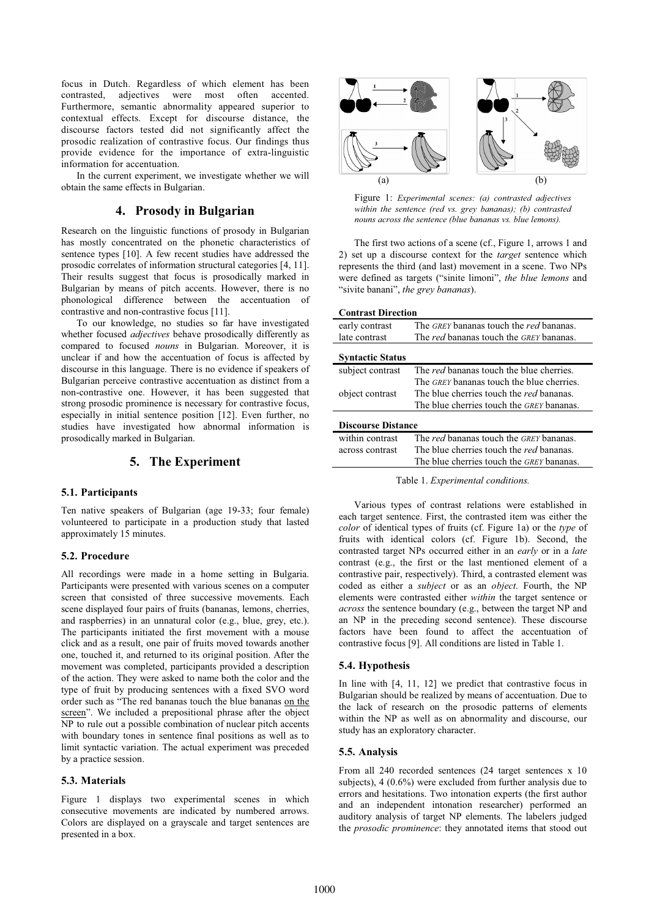focus in Dutch. Regardless of which element has been contrasted, adjectives were most often accented. Furthermore, semantic abnormality appeared superior to contextual effects. Except for discourse distance, the discourse factors tested did not significantly affect the prosodic realization of contrastive focus. Our findings thus provide evidence for the importance of extra-linguistic information for accentuation.

In the current experiment, we investigate whether we will obtain the same effects in Bulgarian.

# **4. Prosody in Bulgarian**

Research on the linguistic functions of prosody in Bulgarian has mostly concentrated on the phonetic characteristics of sentence types [10]. A few recent studies have addressed the prosodic correlates of information structural categories [4, 11]. Their results suggest that focus is prosodically marked in Bulgarian by means of pitch accents. However, there is no phonological difference between the accentuation of contrastive and non-contrastive focus [11].

To our knowledge, no studies so far have investigated whether focused *adjectives* behave prosodically differently as compared to focused *nouns* in Bulgarian. Moreover, it is unclear if and how the accentuation of focus is affected by discourse in this language. There is no evidence if speakers of Bulgarian perceive contrastive accentuation as distinct from a non-contrastive one. However, it has been suggested that strong prosodic prominence is necessary for contrastive focus, especially in initial sentence position [12]. Even further, no studies have investigated how abnormal information is prosodically marked in Bulgarian.

# **5. The Experiment**

### **5.1. Participants**

Ten native speakers of Bulgarian (age 19-33; four female) volunteered to participate in a production study that lasted approximately 15 minutes.

### **5.2. Procedure**

All recordings were made in a home setting in Bulgaria. Participants were presented with various scenes on a computer screen that consisted of three successive movements. Each scene displayed four pairs of fruits (bananas, lemons, cherries, and raspberries) in an unnatural color (e.g., blue, grey, etc.). The participants initiated the first movement with a mouse click and as a result, one pair of fruits moved towards another one, touched it, and returned to its original position. After the movement was completed, participants provided a description of the action. They were asked to name both the color and the type of fruit by producing sentences with a fixed SVO word order such as "The red bananas touch the blue bananas on the screen". We included a prepositional phrase after the object NP to rule out a possible combination of nuclear pitch accents with boundary tones in sentence final positions as well as to limit syntactic variation. The actual experiment was preceded by a practice session.

# **5.3. Materials**

Figure 1 displays two experimental scenes in which consecutive movements are indicated by numbered arrows. Colors are displayed on a grayscale and target sentences are presented in a box.



Figure 1: *Experimental scenes: (a) contrasted adjectives within the sentence (red vs. grey bananas); (b) contrasted nouns across the sentence (blue bananas vs. blue lemons).* 

The first two actions of a scene (cf., Figure 1, arrows 1 and 2) set up a discourse context for the *target* sentence which represents the third (and last) movement in a scene. Two NPs were defined as targets ("sinite limoni", *the blue lemons* and "sivite banani", *the grey bananas*).

| <b>Contrast Direction</b> |                                                                                                                                                         |  |  |  |  |  |
|---------------------------|---------------------------------------------------------------------------------------------------------------------------------------------------------|--|--|--|--|--|
| early contrast            | The GREY bananas touch the red bananas.                                                                                                                 |  |  |  |  |  |
| late contrast             | The <i>red</i> bananas touch the <i>GREY</i> bananas.                                                                                                   |  |  |  |  |  |
| <b>Syntactic Status</b>   |                                                                                                                                                         |  |  |  |  |  |
| subject contrast          | The <i>red</i> bananas touch the blue cherries.                                                                                                         |  |  |  |  |  |
| object contrast           | The <i>GREY</i> bananas touch the blue cherries.<br>The blue cherries touch the <i>red</i> bananas.<br>The blue cherries touch the <i>GREY</i> bananas. |  |  |  |  |  |
| <b>Discourse Distance</b> |                                                                                                                                                         |  |  |  |  |  |
| within contrast           | The red bananas touch the GREY bananas.                                                                                                                 |  |  |  |  |  |
| across contrast           | The blue cherries touch the <i>red</i> bananas.                                                                                                         |  |  |  |  |  |
|                           | The blue cherries touch the <i>GREY</i> bananas.                                                                                                        |  |  |  |  |  |

Table 1. *Experimental conditions.* 

Various types of contrast relations were established in each target sentence. First, the contrasted item was either the *color* of identical types of fruits (cf. Figure 1a) or the *type* of fruits with identical colors (cf. Figure 1b). Second, the contrasted target NPs occurred either in an *early* or in a *late* contrast (e.g., the first or the last mentioned element of a contrastive pair, respectively). Third, a contrasted element was coded as either a *subject* or as an *object*. Fourth, the NP elements were contrasted either *within* the target sentence or *across* the sentence boundary (e.g., between the target NP and an NP in the preceding second sentence). These discourse factors have been found to affect the accentuation of contrastive focus [9]. All conditions are listed in Table 1.

# **5.4. Hypothesis**

In line with [4, 11, 12] we predict that contrastive focus in Bulgarian should be realized by means of accentuation. Due to the lack of research on the prosodic patterns of elements within the NP as well as on abnormality and discourse, our study has an exploratory character.

### **5.5. Analysis**

From all 240 recorded sentences (24 target sentences x 10 subjects), 4 (0.6%) were excluded from further analysis due to errors and hesitations. Two intonation experts (the first author and an independent intonation researcher) performed an auditory analysis of target NP elements. The labelers judged the *prosodic prominence*: they annotated items that stood out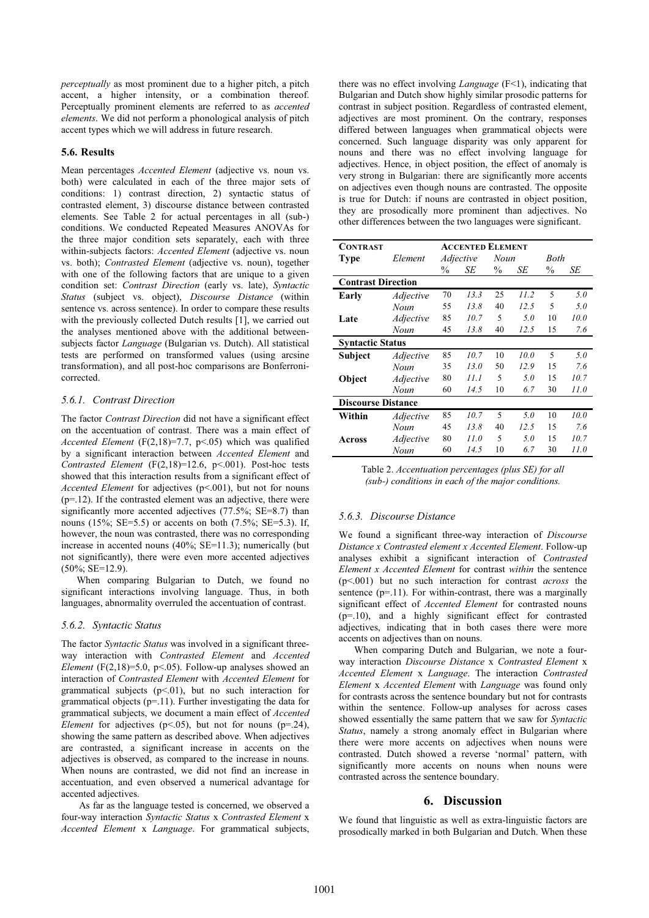*perceptually* as most prominent due to a higher pitch, a pitch accent, a higher intensity, or a combination thereof. Perceptually prominent elements are referred to as *accented elements*. We did not perform a phonological analysis of pitch accent types which we will address in future research.

#### **5.6. Results**

Mean percentages *Accented Element* (adjective vs. noun vs. both) were calculated in each of the three major sets of conditions: 1) contrast direction, 2) syntactic status of contrasted element, 3) discourse distance between contrasted elements. See Table 2 for actual percentages in all (sub-) conditions. We conducted Repeated Measures ANOVAs for the three major condition sets separately, each with three within-subjects factors: *Accented Element* (adjective vs. noun vs. both); *Contrasted Element* (adjective vs. noun), together with one of the following factors that are unique to a given condition set: *Contrast Direction* (early vs. late), *Syntactic Status* (subject vs. object), *Discourse Distance* (within sentence vs. across sentence). In order to compare these results with the previously collected Dutch results [1], we carried out the analyses mentioned above with the additional betweensubjects factor *Language* (Bulgarian vs. Dutch). All statistical tests are performed on transformed values (using arcsine transformation), and all post-hoc comparisons are Bonferronicorrected.

### *5.6.1. Contrast Direction*

The factor *Contrast Direction* did not have a significant effect on the accentuation of contrast. There was a main effect of *Accented Element* (F(2,18)=7.7, p<.05) which was qualified by a significant interaction between *Accented Element* and *Contrasted Element* (F(2,18)=12.6, p<.001). Post-hoc tests showed that this interaction results from a significant effect of *Accented Element* for adjectives (p<.001), but not for nouns  $(p=12)$ . If the contrasted element was an adjective, there were significantly more accented adjectives (77.5%; SE=8.7) than nouns (15%; SE=5.5) or accents on both (7.5%; SE=5.3). If, however, the noun was contrasted, there was no corresponding increase in accented nouns (40%; SE=11.3); numerically (but not significantly), there were even more accented adjectives (50%; SE=12.9).

When comparing Bulgarian to Dutch, we found no significant interactions involving language. Thus, in both languages, abnormality overruled the accentuation of contrast.

#### *5.6.2. Syntactic Status*

The factor *Syntactic Status* was involved in a significant threeway interaction with *Contrasted Element* and *Accented Element* (F(2,18)=5.0, p<.05). Follow-up analyses showed an interaction of *Contrasted Element* with *Accented Element* for grammatical subjects  $(p<01)$ , but no such interaction for grammatical objects  $(p=11)$ . Further investigating the data for grammatical subjects, we document a main effect of *Accented Element* for adjectives ( $p$ <.05), but not for nouns ( $p$ =.24), showing the same pattern as described above. When adjectives are contrasted, a significant increase in accents on the adjectives is observed, as compared to the increase in nouns. When nouns are contrasted, we did not find an increase in accentuation, and even observed a numerical advantage for accented adjectives.

 As far as the language tested is concerned, we observed a four-way interaction *Syntactic Status* x *Contrasted Element* x *Accented Element* x *Language*. For grammatical subjects,

there was no effect involving *Language* (F<1), indicating that Bulgarian and Dutch show highly similar prosodic patterns for contrast in subject position. Regardless of contrasted element, adjectives are most prominent. On the contrary, responses differed between languages when grammatical objects were concerned. Such language disparity was only apparent for nouns and there was no effect involving language for adjectives. Hence, in object position, the effect of anomaly is very strong in Bulgarian: there are significantly more accents on adjectives even though nouns are contrasted. The opposite is true for Dutch: if nouns are contrasted in object position, they are prosodically more prominent than adjectives. No other differences between the two languages were significant.

| <b>CONTRAST</b>           | <b>ACCENTED ELEMENT</b> |                  |      |      |      |               |      |  |
|---------------------------|-------------------------|------------------|------|------|------|---------------|------|--|
| <b>Type</b>               | Element                 | <i>Adjective</i> |      | Noun |      | Both          |      |  |
|                           |                         | $\frac{0}{0}$    | SE   | $\%$ | SE   | $\frac{0}{0}$ | SЕ   |  |
| <b>Contrast Direction</b> |                         |                  |      |      |      |               |      |  |
| Early                     | <i>Adjective</i>        | 70               | 13.3 | 25   | 11.2 | 5             | 5.0  |  |
|                           | Noun                    | 55               | 13.8 | 40   | 12.5 | 5             | 5.0  |  |
| Late                      | Adjective               | 85               | 10.7 | 5    | 5.0  | 10            | 10.0 |  |
|                           | Noun                    | 45               | 13.8 | 40   | 12.5 | 15            | 7.6  |  |
| <b>Syntactic Status</b>   |                         |                  |      |      |      |               |      |  |
| <b>Subject</b>            | <i>Adjective</i>        | 85               | 10.7 | 10   | 10.0 | 5             | 5.0  |  |
|                           | Noun                    | 35               | 13.0 | 50   | 12.9 | 15            | 7.6  |  |
| Object                    | Adjective               | 80               | 11.1 | 5    | 5.0  | 15            | 10.7 |  |
|                           | Noun                    | 60               | 14.5 | 10   | 6.7  | 30            | 11.0 |  |
| <b>Discourse Distance</b> |                         |                  |      |      |      |               |      |  |
| Within                    | <i>Adjective</i>        | 85               | 10.7 | 5    | 5.0  | 10            | 10.0 |  |
|                           | Noun                    | 45               | 13.8 | 40   | 12.5 | 15            | 7.6  |  |
| Across                    | Adjective               | 80               | 11.0 | 5    | 5.0  | 15            | 10.7 |  |
|                           | Noun                    | 60               | 14.5 | 10   | 6.7  | 30            | 11.0 |  |

Table 2. *Accentuation percentages (plus SE) for all (sub-) conditions in each of the major conditions.* 

#### *5.6.3. Discourse Distance*

We found a significant three-way interaction of *Discourse Distance x Contrasted element x Accented Element*. Follow-up analyses exhibit a significant interaction of *Contrasted Element x Accented Element* for contrast *within* the sentence (p<.001) but no such interaction for contrast *across* the sentence  $(p=11)$ . For within-contrast, there was a marginally significant effect of *Accented Element* for contrasted nouns  $(p=10)$ , and a highly significant effect for contrasted adjectives, indicating that in both cases there were more accents on adjectives than on nouns.

When comparing Dutch and Bulgarian, we note a fourway interaction *Discourse Distance* x *Contrasted Element* x *Accented Element* x *Language*. The interaction *Contrasted Element* x *Accented Element* with *Language* was found only for contrasts across the sentence boundary but not for contrasts within the sentence. Follow-up analyses for across cases showed essentially the same pattern that we saw for *Syntactic Status*, namely a strong anomaly effect in Bulgarian where there were more accents on adjectives when nouns were contrasted. Dutch showed a reverse 'normal' pattern, with significantly more accents on nouns when nouns were contrasted across the sentence boundary.

### **6. Discussion**

We found that linguistic as well as extra-linguistic factors are prosodically marked in both Bulgarian and Dutch. When these